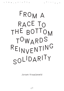## **FROM A RACE TO THE BOTTOM TOWARDS REINVENTIN<sup>G</sup> SOLIDARITY**

**Joram Kraaijeveld**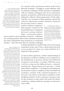*1* **The Gerrit Rietveld Academie offers preparatory trajectories and bachelor and master programmes in the arts and design. The Sandberg Instituut is the Master programme of the Gerrit Rietveld Academie. For the various educational components of the Academy different names are in use, which might be confusing. In this text, I refer to the Gerrit Rietveld Academie or Academy to refer to the whole institution, the Sandberg (Instituut) to refer to the Master programme, and the Rietveld to refer to the Bachelor programme.**

As a teacher with a permanent contract at the Gerrit Rietveld Academie *<sup>1</sup>* , I struggle to create solidarity with my freelance colleagues. On the one hand, I sympathize with my freelance colleagues who are in a precarious position, are paid less, and lack the security of contracts defined by collective labour agreements. On the other, I feel the very existence of these positions outside the collective agreements weaken solidarity structures because they lead to a deterioration of labour conditions.*<sup>2</sup>*

This paradox created by the sharp difference in regulation between working relationships – permanent employ-

ment contracts versus freelance contracts – influences my teaching position. What if the institution demands the same commitment from freelancers as contracted teachers – does this mean that my freelance colleague

*2* **This seems to be a paradox between a loosely-defined understanding of solidarity as emotional interrelationships (sympathy, compassion) and a more strictly defined understanding of solidarity as a principle in organizing socio-economic life (normative value). In the case with my freelance colleagues, the paradox lies in the fact that although they undermine my position, I still have empathy for them.** 

*3* **Labour conditions in the arts are discussed extensively, ever since the SER/RvC memo 'Verkenning Arbeidsmarkt culturele sector' in 2016 claimed that the position of workers in the cultural sector in the Netherlands is worrying. As a response, the sector has been developing instruments to improve the labour conditions of art workers such as the Fair Practice Code and the guideline for artists' fees. The latter was welcomed by Mariëtte Hamer, chair of the SER, with the encouraging words that the cultural sector has taken matters into its own hands and has set an example for other sectors. I have always found this supportive comment bittersweet, as these instruments created by the sector were made out of necessity, as labour conditions in the arts could not be much poorer and the number of unprotected freelancers in this sector could not be much higher. The laws, regulations, and in particular the budget cuts implemented by the government created the urgent need to respond collectively to the alarming situation of** 

**cultural workers.** 

is being exploited? Or, should I take extra work during assessment weeks since I have a better-paid and more secure position? In what way could solidarity be a response to this paradox?

To answer these questions, a better understanding of the dynamics of labour conditions at art academies in the Netherlands in general, and the Gerrit Rietveld Academie in particular, is needed. With this essay, I will try to map out the different layers – national, institutional, departmental and personal – which affect labour conditions.*<sup>3</sup>* I will begin by describing my involvement in labour conditions at the Gerrit Rietveld Academie, continue with a national perspective on flexwork, and reflect on the labour conditions at the Sandberg Instituut. In the conclusion I propose steps for the Academy to take which will create fair labour conditions, making solidarity amongst art educators more viable.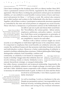## **TRANSPARENCY O N PERSONAL INVOLVEMENT**

I have been working for the Academy since 2011 as a theory teacher. Since 2015, I have a permanent contract of 0,1724 fte, regulated by the collective labour agreement. This less-than-a-working-day permanent contract gives me minimal stability, as I am entitled to social benefits (various forms of leave and insurance) and pension for these  $+/- 6.5$  hours a week. My contract also connects me to other teachers and workers in the Netherlands who also have a contract. Together with all these workers, I participate in nationwide structures organized or controlled by the state and social partners to safeguard our social security. Those who have a (temporary or permanent) contract in the Netherlands are

*4* **However, there are different ways that teachers could influence their labour conditions. Members of labour unions can participate in negotiations. Members of the Participation Council can participate in forming employment policy.** 

not able to opt out or pick and choose their social benefits.*<sup>4</sup>* Nevertheless, the various parties – labour unions, employers, politicians, and policy makers – involved have built these social arrangements on principles of solidarity, in the sense that all workers with a contract are compelled to 'stand in for each other'.

Workers with a labour contract might see social security as an obligation or individual right because of its compulsory nature. It is important to emphasize that social benefits are solidarity networks, and counter the neoliberal framework that promotes individual freedom to divide and individualize workers. Moreover, a better understanding of solidarity is needed to facilitate rethinking these structures. Political philosopher Rahel Jaeggi distinguishes solidarity from friendship, coalition and

community, as solidarity is not based on compassion, loyalty or kinship.*<sup>5</sup>* Jaeggi states that solidarity does not involve intimacy, family or charity. Solidarity is not a natural, hierarchical, strategic, or unequal relationship

*5* **Rahel Jaeggi, 'Solidarity and Indifference', in: R. Termeulen and R. Houtepen (ed.),** *Solidarity and Care in the European Union***, Dordrecht: Kluwer, 2001, p. 289**

but rather chosen, symmetrical, and reciprocal relationship. Importantly, the reciprocity of solidarity relations is not a simple exchange: you don't give a little and take a little. Solidarity means cooperation with a deeper commitment than is necessary for self-interested needs or goals. As there is no clear and free choice

*6* **For a further explanation about the passive and active forms of solidarity, please see my text 'Reinventing Solidarity' at: https://studiumgenerale. artez.nl/nl/studies/a+sense+of+belonging/solidariteit+heruitvinden+reinventing+solidarity/.**  involved in social benefits, I view them as passive solidarity structures.*<sup>6</sup>*

As well as teaching, I work as a freelancer in the arts. Despite my permanent contract, I am responsible for my financial security, including planning for any unforeseen illness and saving for my eventual retirement.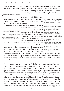That is why I am putting money aside at a freelance pension company. The government and social partners reached an agreement – 'Pensioenakkoord' – in

*7* **Two examples of such companies are Bright Pensioen and ZZP Pensioen. See brightpensioen.nl and zzppensioen.nl**

June 2019, including an insurance facility/obligation for self-employed workers. Still, implementation is delayed.*<sup>7</sup>* Several insurance companies exclude art workers from disability insur-

ance, and those that are available are very expensive.*<sup>8</sup>* Freelance art workers are then compelled to seek other ways to obtain financial security.

*9* **A Broodfonds is set up by a group of 30-50 freelancers who support each other with a financial donation if a member is unable to work due to illness, for a maximum of two years. There are 28.000 freelancers in 622 Broodfondsen in The Netherlands. See www.Broodfonds.nl**

Together with 30 other freelance cultural workers, I established Broodfonds Sociale Dienst in November 2019.*<sup>9</sup>* I can choose freely and opt-out from this Broodfonds, in which members directly 'stand in for each other'. The difference with disability insurance is that

Broodfonds-members receive donations from a chosen circle of co-workers instead of social benefits from anonymous workers distributed through regulated state institutions. Members of a Broodfonds have committed to a form of cooperation deeper than is necessary for *8* **Many insurance companies make artists or cultural workers ineligible for disability insurance. When you fill in the profession of visual artist in the calculator of insurance company Allianz, it reads: "Allianz kan dit beroep helaas niet verzekeren". https://aov.allianz. nl/ With other insurance companies, the monthly premium is too expensive to afford for an artist with an average income. For instance, at Centraal Beheer a visual artist will need to pay €297 per month for disability insurance of €18.000 a year. Nevertheless, the Minister of Social Affairs stated on 17 June 2020 that disability insurance will become obligatory, which raises questions about who is responsible for offering fair and affordable disability insurance. In a letter to the Parliament of 20 December 2020, the Minister of Social Affairs stated that it would take longer than expected to create an insurance obligation.** 

**<sup>R</sup> <sup>I</sup> <sup>T</sup> <sup>I</sup>**

**<sup>Q</sup> <sup>U</sup> <sup>E</sup>**

self-interested needs or goals. They won't know if and when somebody will get ill, while all members pay monthly contributions and participate in meetings to decide collectively on matters. I would argue that the Broodfonds is an active solidarity structure.

Our Broodfonds was made possible with the help of a staff member at Sandberg, who hosted our meetings and established connections between freelancers working for the institution as a teacher or coordinator. This involvement raises questions and is uncomfortable. There is a strict legal obligation to pay and take responsibility for re-integration for employees, and no such obligation for freelancers. If there is institutional responsibility, is it to help freelancers help each other or provide the correct contract? In late 2020, our Broodfonds made the first insurance payment to a person (who, coincidentally, has been working for the Sandberg). As agreed with the membership, I have been donating  $\epsilon$ 21,66 every month. Since I am a board member of the Broodfonds, I also have monthly conversations with this person to discuss the level of recovery or need for support. On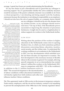average, I spend four hours per month administrating the Broodfonds.

It's my free choice to join a Broodfonds and it's great that my colleague is receiving support. Yet, it's questionable whether the active solidarity structure would be necessary if the passive solidarity structure was available to all. From a critical perspective, I am donating and doing unpaid work the Academy outsources because the institution is not taking its responsibility as an employer; I should not also have the role of support buddy, as a company doctor should

*10* **a . At this point, it is interesting to connect the labour conditions of art educators to the financial situation of the Academy. The budget of 2021 shows that the Academy is paying roughly the same to freelancers (€ 1.928.400) as it is paying only for the social charges and pensions for the people who have a contract (€ 2.067.000, which is 28,49% of the €7.254.000 for salaries). Although more information is needed to compare these numbers, two interesting facts can be observed. Firstly, there is a surcharge of almost 30% on the salaries to pay for the social charges and pensions for employed personnel. Secondly, roughly 17% of the budget spent on labour (including social charges and pensions) concerns freelance labour. b. As a note, it is also interesting that the Participation Council has advised the Executive Board "to make clear which functions can be fulfilled freelance and which need to be done within a contract". From autumn 2021, a new employment policy will be implemented step-by-step. Perhaps, my freelance colleagues will receive a contract in the future. In that case, our Broodfonds might need to look for other members.** see my colleague; it should not be me who donates from my modest income, as my colleague should receive sick leave.*<sup>10</sup>* On top of that, if the Broodfonds proves successful in improving the situation of precarious freelancers, it might also be used as a legitimization to reduce supports for workers in the Netherlands further.

## **SLOW DECAY**

Writing about the position of flex-workers in higher education in the Netherlands comes close to opening Pandora's box, in which you find contentious political discussions concerning labour, education, taxation, social security, and the welfare state. To understand the working conditions in art academies in the Netherlands in 2021, two key developments which unfolded over the last three decades are important to examine. The first development is the enormous increase of flexible labour in the economy in general. For example, allowing payroll companies to act as intermediaries has created almost 3 million flex-workers in the Netherlands (50% more in comparison with 2003 / 32% of the workforce)

in addition to the 1,1 million freelancers active in 2020.*<sup>11</sup>* The second development is the decentralization of labour conditions within educational institutions. I will shortly explain how both reinforce each other and influence teachers' labour conditions.

*11* **'Hoeveel flexwerkers zijn er?', CBS (Centraal Bureau voor de Statistiek). Accessed through: https:// www.cbs.nl/nl-nl/faq/flexwerk/ hoeveel-flexwerkers-zijn-er-.**

The 'Flex-agreement' made in 1996 was key to the increase in temporary contracts. Trade unions, employers, and the HR-service industry wanted to do something to prevent the unemployment of the 1980s due to the 'densely regulated' labour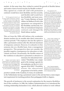**<sup>C</sup> <sup>O</sup> <sup>M</sup> <sup>M</sup> <sup>I</sup> <sup>S</sup> <sup>S</sup> <sup>I</sup> <sup>O</sup> <sup>N</sup> <sup>E</sup> <sup>D</sup>         <sup>C</sup>**

**<sup>R</sup> <sup>I</sup> <sup>T</sup> <sup>I</sup> <sup>Q</sup> <sup>U</sup> <sup>E</sup>**

market. At the same time, they wished to control the growth of flexible labour and create a form of social security for flexible workers.*<sup>12</sup>*

They agreed on a trade-off: staff with permanent contracts would have more flexibility and less security,

*13* **The Flex-agreement aimed to put an end to chains of temporary contracts. In 1996, this could not last longer than one year. Employers circumvented this by employing someone for eleven months with one-month intervals. The labour unions wanted to end this, but employers demanded more flexibility in exchange. The labour unions gave in: an employer was allowed to offer three consecutive contracts before someone had to be permanently employed.** 

and flexible staff would have less flexibility and more security.*<sup>13</sup>* Under Minister of Social Affairs Ad Melkert (PvdA), this agreement was integrated in the Flexibility and Security Act. This act normalized temporary contracts and changed the Dutch labour market.

*12 Flex-agreement* **is the Flexakkoord. The Flexibility and Security Act is the Wet Flexibiliteit en zekerheid. "In 1996 kwam het Flexakkoord (ook wel 'Akkoord van Haarlem' of 'keukentafelakkoord' genoemd) tot stand. Dit sociaal akkoord in de vorm van een unaniem advies van de sociale partners legde de basis voor de in 1999 in werking getreden Wet Flexibiliteit en zekerheid. Hierdoor kreeg zittend personeel te maken met meer flexibiliteit en minder zekerheid, en flexibel personeel met minder flexibiliteit en meer zekerheid." Accessed through: https://www.parlement.com/id/ vh8lnhrqszxz/het\_flexakkoord\_van\_1996.**

This act from the 1990s still defines why academies dismiss teachers for six months after three consecutive contract periods.*<sup>14</sup>* The employer also has the option to offer a permanent contract after the allowed maximum of temporary contracts. However, it is attractive to hire someone else on a flexible basis, from a management perspective. This perspective does not consider the possible negative consequences for education or individuals involved. Occasionally, the flexible nature of the workforce in education is presented as attractive or

**social security in art academies demand that we rethink the relationships between employment policy and pedagogy. See, for instance: https://www.metropolism. com/nl/opinion/42467\_het\_ligt\_niet\_aan\_ jou\_hoe\_academies\_onveiligheid\_laten\_ voortbestaan.**

necessary for educational inno-15 However, recent studies in light of vation.<sup>15</sup> Flexibility was a major markt~b8456013/ goal in the strategic agenda for art academies, see the KUO NEXT agenda 2016-2020.*<sup>16</sup>* Flexibility allows the educational programme to be fed by artistic

*14* **Under certain conditions, the Collective Labour Agreement HBO allowed for an exception to the rule of a maximum of three consecutive temporary contracts and four consecutive periods: for example when an employee is teaching alongside an independent professional practice as an artist for less then 0,4 fte. Recent advice (3 June 2021) of the social partners (labour unions and employees) to the SER about he labour market stated that the exceptions in CLAs will disappear. See: https://www. trouw.nl/economie/vakbonden-en-werkgevers-eens-over-hervorming-arbeids-**

*16* **https://www.vereniginghogescholen.nl/kennisbank/sectoren/ artikelen/kuo-next-agenda-2016-2020-vierde-voortgangsrapportage**

practices outside of the Academy. In many art academies in the Netherlands, having a prominent career in the arts has been a more impor-

tant requirement for teaching positions than pedagogical skills or degrees.

The growth of freelancers is the second explanation for the massive flexibilization of the workforce. In 1986, the Lubbers Administration (CDA) introduced the working relationship declaration (VAR), which allowed workers to work without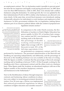an employment contract. The VAR declaration made it possible to prevent penalties from the tax inspectors and legally avoid paying payroll taxes. In 1989, there were less than 4000 freelancers, while in 2001, there were already half a million freelancers using this declaration. To control growth, the VAR was updated by the Kok Administration (PvdA) in 2001 to define what freelancers are allowed to do more clearly. At the same time, several fiscal measures were introduced, making it financially attractive for individuals to work freelance and employers to hire freelancers. In 2016, government withdrew the VAR legislation, making labour relations part of an extensive political debate while the content of proposed new

*17* **Enforcement by tax-inspectors is suspended due to new legislation (wet DBA: https://www.belastingdienst.nl/wps/ wcm/connect/nl/modelovereenkomsten/ modelovereenkomsten). The Minister of Social Affairs has published his sixth letter 'working self-employed', there is no political majority for the liberal perspective "individuals and companies are free to choose their own contract" or the socialistic perspective: "it is only under strict conditions allowed to work as self-employed." https://www. rijksoverheid.nl/documenten/kamerstukken/2020/11/16/zesde-voortgangsbrief-werken-als-zelfstandige.**

legislation remains unclear.*<sup>17</sup>*

In comparison to the wider Dutch economy, the flexibilization of teachers in Dutch Higher Education has grown rapidly. In 2014, 33% of teachers had a temporary contract and 20% were freelancers.*<sup>18</sup>* Amongst the teaching staff at the Rietveld,

this percentage of flexible working relationships is higher than average with 57% flexwork in total: 35% of the full-time equivalents (FTEs)

*18* **These 20% freelance workers are responsible for 5% of the teaching hours. See: Yvonne van de Meent, 'Doorgeslagen flexibilisering', Onderwijsblad, 21 juni 2014.**

are performed on a temporary contract, and 22% are performed by freelancers. The personnel administration of the Rietveld and Sandberg are operating independently and differently, and the percentage of flexwork at the Sandberg Instituut was not available at the time of writing. With the figures available, I estimate that the percentage of flexwork amongst teaching staff at Sandberg is between 75-85%. Of the 65 people working for the Sandberg only 8 have a permanent contract and the others work on a freelance basis. These figures make the Academy an educational employer with one of the

highest number of flex-teachers (temporary contracts and freelancers) in the Netherlands.*<sup>19</sup>*

Next to the flexibilization of labour through temporary contracts and freelancing, labour conditions in education were subject to increasing government decentralization. Over 20 years ago, a Decree was implemented that reduced governmental regulations on labour conditions in higher education and scientific research.*<sup>20</sup>*

*19* **As much as the position of teachers with a temporary contract differs from teachers working freelance, there is also shared insecurity.**

*20* **'Besluit decentralisatie arbeidsvoorwaardenvorming universiteiten, hogescholen en onderzoekinstellingen', Ministerie van Onderwijs, Cultuur en Wetenschap,** *Staatsblad***, 1999, p. 528.**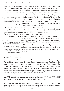This meant that the government's legislative and executive roles in the public sector of education were taken apart. The executive role was decentralized to the executive boards of educational institutions. However, the government still decided the institutions' annual budgets. In other words, executive boards

*21* **For more explanation, see page 10 of 'Buitengewoon normale sturing,' advies van de werkgroep 'Sturing op arbeidsvoorwaardenvorming en pensioenen in de publieke sector', Den Haag, 18 juni 2015.**  gained freedom in budgetary decisions, but they gained no influence over the size of the budget.*<sup>21</sup>* The AOb, the biggest labour union for education, claims that this construction led to an impoverishment of the labour conditions within higher educational institutions.*<sup>22</sup>* Twenty years ago, a model was

introduced to create an annual budget that should have kept public sector employees' salaries in line with wage increases in the corporate sector. Within this model, the government can decide to apply policy-based cuts.

*22* **Liesbeth Verheggen, 'Position paper Algemene Onderwijsbond voor Commissie Regulering van Werk',** *AOb***, 19 juli 2019.**

**<sup>R</sup> <sup>I</sup> <sup>T</sup> <sup>I</sup>**

**<sup>Q</sup> <sup>U</sup> <sup>E</sup>**

Although this should have been exceptional, cuts have been made 11 times in

*23* **With the exception of boards in education, many of the board members of educational institutions earn a salary similar to the minister of education. See: https://www.nrc.nl/nieuws/2021/03/28/ breng-onderwijsbestuurders-onderin-gewone-cao-a4037601 and nrc.nl/ nieuws/2021/03/28/gapend-gat-bij-beloning-onderwijs-a4037591.**

twenty years. The result is that salaries in education have lagged behind by 18%.*<sup>23</sup>* In addition, the Ministry demanded investments in research from educational institutions without increasing the budget. Shrinking budgets, other mandatory investments, and options to cut personnel costs have eroded working conditions for teachers.

**WHERE IS THE RED LINE?**

The systemic practices described in the previous section is what sociologist Pascal Gielen calls 'repressive liberalism': "It proclaims the freedom of the individual, encourages independent (cultural) entrepreneurship, embraces the creative industry, and puts forward a rhetoric of deregulation and swears by the limitation of the state (and its control). At the same time, however, we can empirically observe that in contrast to the staged discourse, regulation is on the rise, audit controls prevail and a decentralized bureaucratic

apparatus – albeit privatized or 'outsourced' – proliferates."*<sup>24</sup>* This neoliberal ideology promises more freedom and efficiency but results in more control and precarity.

*24* **Pascal Gielen, 'Repressief liberalisme. Over kunst, markt en cultuurbeleid in Nederland', in:** *Kunstlicht* **34:1/2, 2013, p. 13.** 

Although neoliberalism continues to dominate Dutch politics, critiques of it are growing. In the 2020 report *In what kind of country would we like to work?* written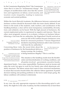by the Commission Regulating Work *<sup>25</sup>* the Commission states that it is time for "fundamental change". The critiques of neoliberalism make clear that the current laws and regulations on labour, social security, and taxation create inequality, leading to numerous economic and societal problems.

*25* **Rijksoverheid, 'In wat voor land willen we werken?', Eindrapport van de Commissie Regulering van Werk, 23 januari 2020. Accessed through: https://reguleringvanwerk.archiefweb. eu/#archive.**

Within the Gerrit Rietveld Academie, the differences between contracted and freelance workers should be decreased while also more clearly defined. If one listens to the needs of the students, staff, teachers, and coordinators of the Sandberg Instituut, a clear call for more transparency, sustainability, diversity, trust, and solidarity can be heard. With the high amount of freelancers, the current employment policy is experienced as negative and insecure. There are other, more pragmatic reasons to re-evaluate a reliance on freelance labour: following a visit from the tax authorities, the Hogeschool Utrecht received an

*26* **Yvonne van de Meent, 'Doorgeslagen flexibilisering', in:**  *Onderwijsblad***, 21 juni 2014.**

extra tax bill of €0,5 million because freelancers were hired for structural positions.*<sup>26</sup>* Saxion Hogeschool decided to stop hiring freelancers after it also received a visit from the tax authorities.*<sup>27</sup>*

Concerning these visits, the recent letter about the position of freelancers by the Kunstenbond delivers a strong warning: the Academy

*27* **Ibid. Often freelancers also receive an extra tax bill in such situations.** 

*28* **'Kunstenbond stuurt Gerrit Rietveld Academie brandbrief arbeidscontracten', June 2021. Accessed through: https://kunstenbond.nl/nieuws/ kunstenbond-stuurt-gerrit-rietveld-academie-brandbrief-arbeidscontracten/.**

is hiring freelancers illegally.*<sup>28</sup>* This is a red line.

This situation at the Sandberg results from the flexibilization and decentralization of working conditions, and all parties involved – government, executive boards,

department heads – have some responsibility. Freelancers need an income and enjoy the work, but agree to work for low hourly rates which deteriorate solidarity structures. The labour unions don't seem to have structural mechanisms to ensure that executive boards follow the collective labour agreement. If partial decision-making and pushing problems to the lower ranks keeps going, the labour conditions will continue to deteriorate.

## **HOW T O REINVENT SOLIDARITY ?**

In my view, the only appropriate response to this descending spiral is solidarity. We might be in the same Academy, but this institution has at least three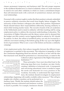classes: permanent, temporary, and freelancer staff. The only proper response to the neoliberal thumbscrews is a kind of solidarity where we create structures to stand in for each other: solidarity in which we create a commitment deeper than self-interested needs with a network of symmetrical, mutual, and reciprocal relationships.

Personnel with a contract ought to realize that their position is already embedded in passive solidarity structures that result from lengthy labour struggles. The insecurity of their freelance colleagues also affects their position. Department Heads should balance their responsibilities differently, bearing solidarity in mind while forming teacher teams. The executive boards of the art academies in the Netherlands need to stand in solidarity with their teaching staff by using employment policy to address the structural underfunding of education. The Association of Higher Education and the labour unions need to demand that the budget cuts that created a sector lagging behind in salaries by 18% should be undone. In short, the rollout of neoliberal policy can only be reversed by a collective movement starting at the bottom going all the way up to the highest levels of government. What is now a race to the bottom can become a solidarity campaign.

A fair employment policy that reduces inequality between the different types of employees is essential to this movement. This reduction in inequality is what the Commission Regulating Work has advised, and this is in line with the idea that structural work should be performed on a structural basis, as stated in the

*29* **Collectieve Arbeidsovereenkomst voor het hoger beroepsonderwijs 2018- 2020, Vereniging Hogescholen, Den Haag, mei 2018, p. 10.** *30* **On top of that, the CAO requires the Participation Council to agree with the percentage of flexible workers (differentiated in temporary, freelancers, outsourced) that the Executive Board proposes. See: Principeakkoord cao-hbo 2018-2020**

Collective Labour Agreement of the Higher Educational Institutions.*29, 30*

These principles I have just described lead to the following steps that every Academy can take: firstly, creating a definition of structural work. A transparent and convincing educational vision is needed to argue the needs and demands for every position in the Academy. Secondly, to understand the legal limitations, the institute should investigate its employment

relationships, beginning with readily-available online resources.*<sup>31</sup>* This will give insights into whether a position can be performed on a freelance basis. Thirdly, the institute should reduce the inequality between contracted and freelancer workers as much as possible. For example, freelancers should

*31* **The Webmodule Beoordeling Arbeidsrelatie was presented on 11 January 2021. See: https://www.rijksoverheid.nl/actueel/nieuws/2021/01/11/ pilot-webmodule-van-start.**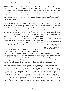apply a standard surcharge of 30% on their hourly rate. This percentage corresponds with the social and pension costs for the employed personnel of the Academy. I would argue that freelancers should be even more expensive than contracted workers, since freelancers are not eligible for other social benefits such as transition fees or one-off bonuses. Moreover, making freelance workers more costly than contracted workers reduces the incentive to hire freelancers for the wrong reasons.

The consequences of a fair employment policy will likely lead to more personnel costs. Executive boards may conclude that this is a problem they cannot solve since they can only define how they spend the money, not how much. However, on moral grounds, an executive board can do more than what is assigned to them or regulated by agreements with the Ministry. In other words, executive boards can calculate how much extra budget would be needed to create fair practice

and present this to the government.*<sup>32</sup>* The Minister of Education would not likely agree immediately, but this claim in itself makes clear that the government has been abdicating responsibility and delegating too much to educational institutions.

*32* **This is what cultural institutions in the performance and visual arts did in 2019 Kunsten '92 calculated that the extra additional costs to implement Fair Practice Code in the performing and visual arts was € 25,4 million for 2021. See: https://www.kunsten92.nl/ meerkosten-fair-practice-berekend/.**

If the government wants to keep the social welfare system affordable, it must end its policies that erode

the working conditions in the public sector. Academies should not only treat the symptoms by raising freelancer rates but tackle the problem at its roots: the structural underfunding of education that has been prompted by a neoliberal ideology plaguing solidarity structures. Solidarity between teachers in art academies will only be possible when fair working conditions are established.

Joram Kraaijeveld is a curator, teacher and writer and as such is committed to promoting the position of artists and the value of the arts for society. He works on active forms of solidarity within and outside the arts. He was involved in the development of the Labour Market Agenda for the Cultural and Creative Sector 2021-2024, the guideline on artists' fees and the Fair Practice Code. On behalf of Platform BK he wrote the research report 'Geen Stad Zonder Kunst' (No City Without Art) on different forms of managing studio buildings in the Netherlands. Joram teaches art theory at the Gerrit Rietveld Academie. He has worked as (guest) curator for Stedelijk Museum

Bureau Amsterdam, Van Abbemuseum, De Brakke Grond, Museum Dr. Guislain, Schloss Ringenberg, Gerrit Rietveld Academie, Metropolis M & Stedelijk Museum. His articles have been published in Metropolis M, Boekman and Kunstlicht, among others. He is chairman of association Platform BK, chairman of Broodfonds Sociale Dienst, member of the Advisory Committee Cultuurnota 2021-2024 of the City of Utrecht, member of the CAWA (Commissie voor Ateliers en (Woon) Werkpanden Amsterdam), and member of Bajesdorp, a self-constructed residential tower block with studios for artists and activists.